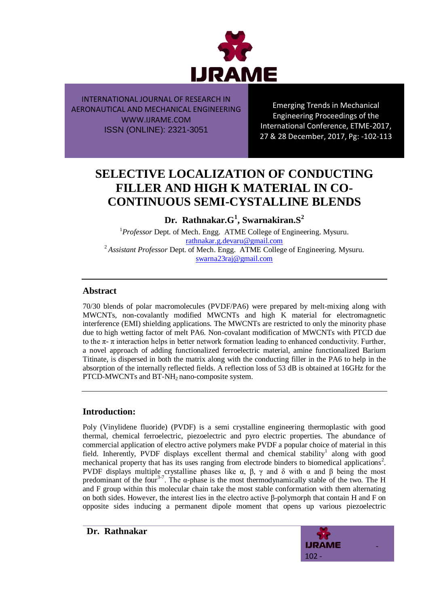

Emerging Trends in Mechanical Engineering Proceedings of the International Conference, ETME-2017, 27 & 28 December, 2017, Pg: -102-113

# **SELECTIVE LOCALIZATION OF CONDUCTING FILLER AND HIGH K MATERIAL IN CO-CONTINUOUS SEMI-CYSTALLINE BLENDS**

**Dr. Rathnakar.G<sup>1</sup> , Swarnakiran.S<sup>2</sup>**

<sup>1</sup>Professor Dept. of Mech. Engg. ATME College of Engineering. Mysuru. [rathnakar.g.devaru@gmail.com](mailto:rathnakar.g.devaru@gmail.com) <sup>2</sup>*Assistant Professor* Dept. of Mech. Engg. ATME College of Engineering. Mysuru. [swarna23raj@gmail.com](mailto:swarna23raj@gmail.com)

## **Abstract**

70/30 blends of polar macromolecules (PVDF/PA6) were prepared by melt-mixing along with MWCNTs, non-covalantly modified MWCNTs and high K material for electromagnetic interference (EMI) shielding applications. The MWCNTs are restricted to only the minority phase due to high wetting factor of melt PA6. Non-covalant modification of MWCNTs with PTCD due to the  $\pi$ -  $\pi$  interaction helps in better network formation leading to enhanced conductivity. Further, a novel approach of adding functionalized ferroelectric material, amine functionalized Barium Titinate, is dispersed in both the matrix along with the conducting filler in the PA6 to help in the absorption of the internally reflected fields. A reflection loss of 53 dB is obtained at 16GHz for the PTCD-MWCNTs and BT-NH<sub>2</sub> nano-composite system.

## **Introduction:**

Poly (Vinylidene fluoride) (PVDF) is a semi crystalline engineering thermoplastic with good thermal, chemical ferroelectric, piezoelectric and pyro electric properties. The abundance of commercial application of electro active polymers make PVDF a popular choice of material in this field. Inherently, PVDF displays excellent thermal and chemical stability<sup>1</sup> along with good mechanical property that has its uses ranging from electrode binders to biomedical applications<sup>2</sup>. PVDF displays multiple crystalline phases like  $\alpha$ ,  $\beta$ ,  $\gamma$  and δ with  $\alpha$  and β being the most predominant of the four<sup>3-7</sup>. The  $\alpha$ -phase is the most thermodynamically stable of the two. The H and F group within this molecular chain take the most stable conformation with them alternating on both sides. However, the interest lies in the electro active β-polymorph that contain H and F on opposite sides inducing a permanent dipole moment that opens up various piezoelectric

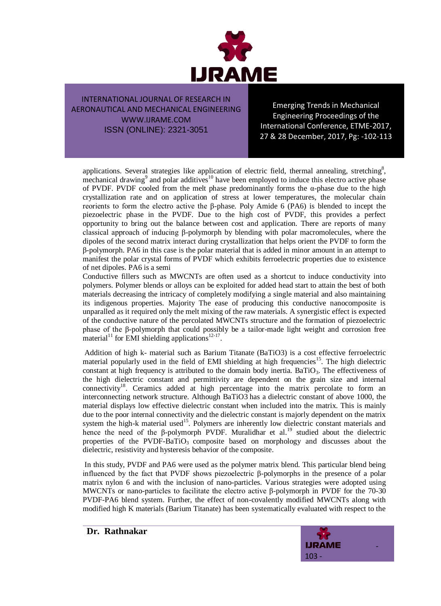

Emerging Trends in Mechanical Engineering Proceedings of the International Conference, ETME-2017, 27 & 28 December, 2017, Pg: -102-113

applications. Several strategies like application of electric field, thermal annealing, stretching<sup>8</sup>, mechanical drawing<sup>9</sup> and polar additives<sup>10</sup> have been employed to induce this electro active phase of PVDF. PVDF cooled from the melt phase predominantly forms the α-phase due to the high crystallization rate and on application of stress at lower temperatures, the molecular chain reorients to form the electro active the β-phase. Poly Amide 6 (PA6) is blended to incept the piezoelectric phase in the PVDF. Due to the high cost of PVDF, this provides a perfect opportunity to bring out the balance between cost and application. There are reports of many classical approach of inducing β-polymorph by blending with polar macromolecules, where the dipoles of the second matrix interact during crystallization that helps orient the PVDF to form the β-polymorph. PA6 in this case is the polar material that is added in minor amount in an attempt to manifest the polar crystal forms of PVDF which exhibits ferroelectric properties due to existence of net dipoles. PA6 is a semi

Conductive fillers such as MWCNTs are often used as a shortcut to induce conductivity into polymers. Polymer blends or alloys can be exploited for added head start to attain the best of both materials decreasing the intricacy of completely modifying a single material and also maintaining its indigenous properties. Majority The ease of producing this conductive nanocomposite is unparalled as it required only the melt mixing of the raw materials. A synergistic effect is expected of the conductive nature of the percolated MWCNTs structure and the formation of piezoelectric phase of the β-polymorph that could possibly be a tailor-made light weight and corrosion free material<sup>11</sup> for EMI shielding applications<sup>12-17</sup>.

Addition of high k- material such as Barium Titanate (BaTiO3) is a cost effective ferroelectric material popularly used in the field of EMI shielding at high frequencies<sup>15</sup>. The high dielectric constant at high frequency is attributed to the domain body inertia. BaTiO<sub>3</sub>. The effectiveness of the high dielectric constant and permittivity are dependent on the grain size and internal connectivity<sup>18</sup>. Ceramics added at high percentage into the matrix percolate to form an interconnecting network structure. Although BaTiO3 has a dielectric constant of above 1000, the material displays low effective dielectric constant when included into the matrix. This is mainly due to the poor internal connectivity and the dielectric constant is majorly dependent on the matrix system the high-k material used<sup>15</sup>. Polymers are inherently low dielectric constant materials and hence the need of the β-polymorph PVDF. Muralidhar et al.<sup>19</sup> studied about the dielectric properties of the PVDF-BaTiO<sub>3</sub> composite based on morphology and discusses about the dielectric, resistivity and hysteresis behavior of the composite.

In this study, PVDF and PA6 were used as the polymer matrix blend. This particular blend being influenced by the fact that PVDF shows piezoelectric β-polymorphs in the presence of a polar matrix nylon 6 and with the inclusion of nano-particles. Various strategies were adopted using MWCNTs or nano-particles to facilitate the electro active β-polymorph in PVDF for the 70-30 PVDF-PA6 blend system. Further, the effect of non-covalently modified MWCNTs along with modified high K materials (Barium Titanate) has been systematically evaluated with respect to the



**Dr. Rathnakar**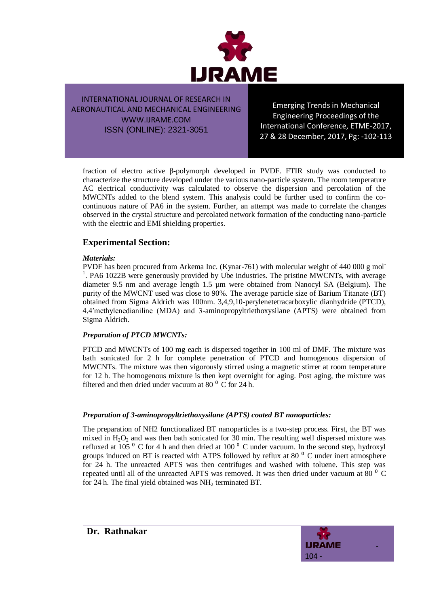

Emerging Trends in Mechanical Engineering Proceedings of the International Conference, ETME-2017, 27 & 28 December, 2017, Pg: -102-113

fraction of electro active β-polymorph developed in PVDF. FTIR study was conducted to characterize the structure developed under the various nano-particle system. The room temperature AC electrical conductivity was calculated to observe the dispersion and percolation of the MWCNTs added to the blend system. This analysis could be further used to confirm the cocontinuous nature of PA6 in the system. Further, an attempt was made to correlate the changes observed in the crystal structure and percolated network formation of the conducting nano-particle with the electric and EMI shielding properties.

# **Experimental Section:**

#### *Materials:*

PVDF has been procured from Arkema Inc. (Kynar-761) with molecular weight of 440 000 g mol-<sup>1</sup>. PA6 1022B were generously provided by Ube industries. The pristine MWCNTs, with average diameter 9.5 nm and average length 1.5 µm were obtained from Nanocyl SA (Belgium). The purity of the MWCNT used was close to 90%. The average particle size of Barium Titanate (BT) obtained from Sigma Aldrich was 100nm. 3,4,9,10-perylenetetracarboxylic dianhydride (PTCD), 4,4′methylenedianiline (MDA) and 3-aminopropyltriethoxysilane (APTS) were obtained from Sigma Aldrich.

#### *Preparation of PTCD MWCNTs:*

PTCD and MWCNTs of 100 mg each is dispersed together in 100 ml of DMF. The mixture was bath sonicated for 2 h for complete penetration of PTCD and homogenous dispersion of MWCNTs. The mixture was then vigorously stirred using a magnetic stirrer at room temperature for 12 h. The homogenous mixture is then kept overnight for aging. Post aging, the mixture was filtered and then dried under vacuum at 80 $^{\circ}$  C for 24 h.

## *Preparation of 3-aminopropyltriethoxysilane (APTS) coated BT nanoparticles:*

The preparation of NH2 functionalized BT nanoparticles is a two-step process. First, the BT was mixed in  $H_2O_2$  and was then bath sonicated for 30 min. The resulting well dispersed mixture was refluxed at 105 $^{\circ}$  C for 4 h and then dried at 100 $^{\circ}$  C under vacuum. In the second step, hydroxyl groups induced on BT is reacted with ATPS followed by reflux at 80 $\degree$  C under inert atmosphere for 24 h. The unreacted APTS was then centrifuges and washed with toluene. This step was repeated until all of the unreacted APTS was removed. It was then dried under vacuum at 80  $^{0}$  C for 24 h. The final yield obtained was  $NH<sub>2</sub>$  terminated BT.

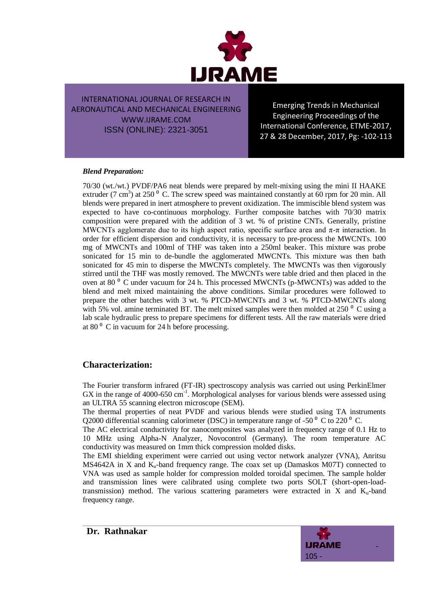

Emerging Trends in Mechanical Engineering Proceedings of the International Conference, ETME-2017, 27 & 28 December, 2017, Pg: -102-113

#### *Blend Preparation:*

70/30 (wt./wt.) PVDF/PA6 neat blends were prepared by melt-mixing using the mini II HAAKE extruder (7 cm<sup>3</sup>) at 250<sup>°</sup> C. The screw speed was maintained constantly at 60 rpm for 20 min. All blends were prepared in inert atmosphere to prevent oxidization. The immiscible blend system was expected to have co-continuous morphology. Further composite batches with 70/30 matrix composition were prepared with the addition of 3 wt. % of pristine CNTs. Generally, pristine MWCNTs agglomerate due to its high aspect ratio, specific surface area and  $\pi$ - $\pi$  interaction. In order for efficient dispersion and conductivity, it is necessary to pre-process the MWCNTs. 100 mg of MWCNTs and 100ml of THF was taken into a 250ml beaker. This mixture was probe sonicated for 15 min to de-bundle the agglomerated MWCNTs. This mixture was then bath sonicated for 45 min to disperse the MWCNTs completely. The MWCNTs was then vigorously stirred until the THF was mostly removed. The MWCNTs were table dried and then placed in the oven at 80 $^{\circ}$  C under vacuum for 24 h. This processed MWCNTs (p-MWCNTs) was added to the blend and melt mixed maintaining the above conditions. Similar procedures were followed to prepare the other batches with 3 wt. % PTCD-MWCNTs and 3 wt. % PTCD-MWCNTs along with 5% vol. amine terminated BT. The melt mixed samples were then molded at 250 $^{\circ}$  C using a lab scale hydraulic press to prepare specimens for different tests. All the raw materials were dried at 80 $^{\circ}$  C in vacuum for 24 h before processing.

## **Characterization:**

The Fourier transform infrared (FT-IR) spectroscopy analysis was carried out using PerkinElmer GX in the range of 4000-650 cm<sup>-1</sup>. Morphological analyses for various blends were assessed using an ULTRA 55 scanning electron microscope (SEM).

The thermal properties of neat PVDF and various blends were studied using TA instruments Q2000 differential scanning calorimeter (DSC) in temperature range of -50  $^{\circ}$  C to 220  $^{\circ}$  C.

The AC electrical conductivity for nanocomposites was analyzed in frequency range of 0.1 Hz to 10 MHz using Alpha-N Analyzer, Novocontrol (Germany). The room temperature AC conductivity was measured on 1mm thick compression molded disks.

The EMI shielding experiment were carried out using vector network analyzer (VNA), Anritsu MS4642A in X and  $K_u$ -band frequency range. The coax set up (Damaskos M07T) connected to VNA was used as sample holder for compression molded toroidal specimen. The sample holder and transmission lines were calibrated using complete two ports SOLT (short-open-loadtransmission) method. The various scattering parameters were extracted in  $X$  and  $K_u$ -band frequency range.

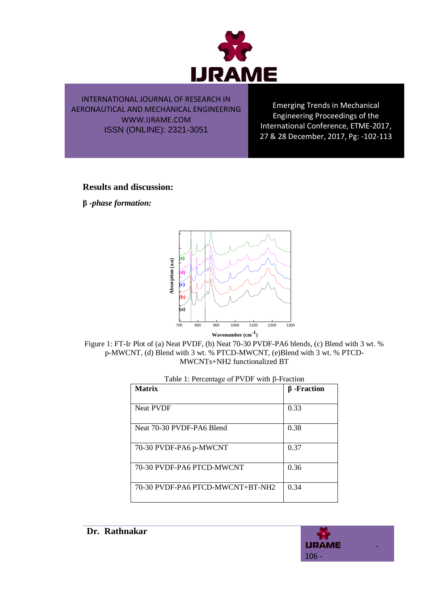

Emerging Trends in Mechanical Engineering Proceedings of the International Conference, ETME-2017, 27 & 28 December, 2017, Pg: -102-113

**Results and discussion:** 

**β** *-phase formation:*



Figure 1: FT-Ir Plot of (a) Neat PVDF, (b) Neat 70-30 PVDF-PA6 blends, (c) Blend with 3 wt. % p-MWCNT, (d) Blend with 3 wt. % PTCD-MWCNT, (e)Blend with 3 wt. % PTCD-MWCNTs+NH2 functionalized BT

| <b>Matrix</b>                    | $\beta$ -Fraction |
|----------------------------------|-------------------|
| <b>Neat PVDF</b>                 | 0.33              |
| Neat 70-30 PVDF-PA6 Blend        | 0.38              |
| 70-30 PVDF-PA6 p-MWCNT           | 0.37              |
| 70-30 PVDF-PA6 PTCD-MWCNT        | 0.36              |
| 70-30 PVDF-PA6 PTCD-MWCNT+BT-NH2 | 0.34              |

| Table 1: Percentage of PVDF with $\beta$ -Fraction |  |
|----------------------------------------------------|--|
|                                                    |  |

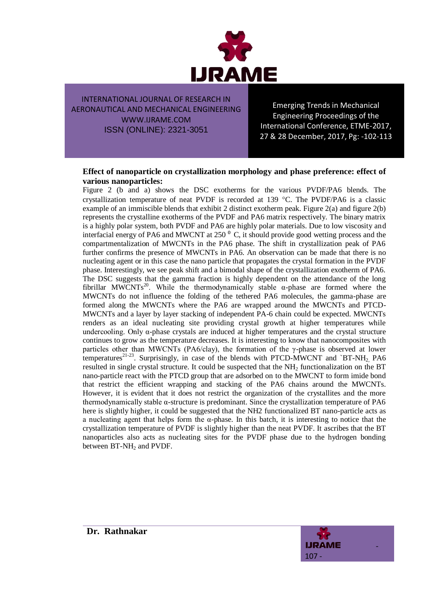

Emerging Trends in Mechanical Engineering Proceedings of the International Conference, ETME-2017, 27 & 28 December, 2017, Pg: -102-113

#### **Effect of nanoparticle on crystallization morphology and phase preference: effect of various nanoparticles:**

Figure 2 (b and a) shows the DSC exotherms for the various PVDF/PA6 blends. The crystallization temperature of neat PVDF is recorded at 139  $^{\circ}$ C. The PVDF/PA6 is a classic example of an immiscible blends that exhibit 2 distinct exotherm peak. Figure 2(a) and figure 2(b) represents the crystalline exotherms of the PVDF and PA6 matrix respectively. The binary matrix is a highly polar system, both PVDF and PA6 are highly polar materials. Due to low viscosity and interfacial energy of PA6 and MWCNT at 250 $^{\circ}$  C, it should provide good wetting process and the compartmentalization of MWCNTs in the PA6 phase. The shift in crystallization peak of PA6 further confirms the presence of MWCNTs in PA6. An observation can be made that there is no nucleating agent or in this case the nano particle that propagates the crystal formation in the PVDF phase. Interestingly, we see peak shift and a bimodal shape of the crystallization exotherm of PA6. The DSC suggests that the gamma fraction is highly dependent on the attendance of the long fibrillar MWCNTs<sup>20</sup>. While the thermodynamically stable  $\alpha$ -phase are formed where the MWCNTs do not influence the folding of the tethered PA6 molecules, the gamma-phase are formed along the MWCNTs where the PA6 are wrapped around the MWCNTs and PTCD-MWCNTs and a layer by layer stacking of independent PA-6 chain could be expected. MWCNTs renders as an ideal nucleating site providing crystal growth at higher temperatures while undercooling. Only  $\alpha$ -phase crystals are induced at higher temperatures and the crystal structure continues to grow as the temperature decreases. It is interesting to know that nanocomposites with particles other than MWCNTs (PA6/clay), the formation of the γ-phase is observed at lower temperatures<sup>21-23</sup>. Surprisingly, in case of the blends with PTCD-MWCNT and `BT-NH<sub>2</sub> PA6 resulted in single crystal structure. It could be suspected that the  $NH<sub>2</sub>$  functionalization on the BT nano-particle react with the PTCD group that are adsorbed on to the MWCNT to form imide bond that restrict the efficient wrapping and stacking of the PA6 chains around the MWCNTs. However, it is evident that it does not restrict the organization of the crystallites and the more thermodynamically stable α-structure is predominant. Since the crystallization temperature of PA6 here is slightly higher, it could be suggested that the NH2 functionalized BT nano-particle acts as a nucleating agent that helps form the α-phase. In this batch, it is interesting to notice that the crystallization temperature of PVDF is slightly higher than the neat PVDF. It ascribes that the BT nanoparticles also acts as nucleating sites for the PVDF phase due to the hydrogen bonding between  $BT-NH<sub>2</sub>$  and PVDF.

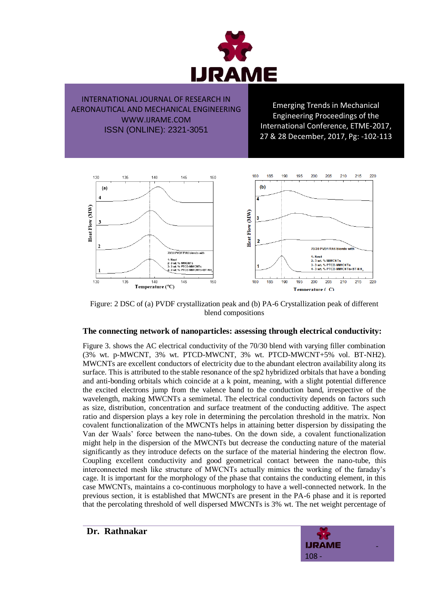

Emerging Trends in Mechanical Engineering Proceedings of the International Conference, ETME-2017, 27 & 28 December, 2017, Pg: -102-113



Figure: 2 DSC of (a) PVDF crystallization peak and (b) PA-6 Crystallization peak of different blend compositions

#### **The connecting network of nanoparticles: assessing through electrical conductivity:**

Figure 3. shows the AC electrical conductivity of the 70/30 blend with varying filler combination (3% wt. p-MWCNT, 3% wt. PTCD-MWCNT, 3% wt. PTCD-MWCNT+5% vol. BT-NH2). MWCNTs are excellent conductors of electricity due to the abundant electron availability along its surface. This is attributed to the stable resonance of the sp2 hybridized orbitals that have a bonding and anti-bonding orbitals which coincide at a k point, meaning, with a slight potential difference the excited electrons jump from the valence band to the conduction band, irrespective of the wavelength, making MWCNTs a semimetal. The electrical conductivity depends on factors such as size, distribution, concentration and surface treatment of the conducting additive. The aspect ratio and dispersion plays a key role in determining the percolation threshold in the matrix. Non covalent functionalization of the MWCNTs helps in attaining better dispersion by dissipating the Van der Waals' force between the nano-tubes. On the down side, a covalent functionalization might help in the dispersion of the MWCNTs but decrease the conducting nature of the material significantly as they introduce defects on the surface of the material hindering the electron flow. Coupling excellent conductivity and good geometrical contact between the nano-tube, this interconnected mesh like structure of MWCNTs actually mimics the working of the faraday's cage. It is important for the morphology of the phase that contains the conducting element, in this case MWCNTs, maintains a co-continuous morphology to have a well-connected network. In the previous section, it is established that MWCNTs are present in the PA-6 phase and it is reported that the percolating threshold of well dispersed MWCNTs is 3% wt. The net weight percentage of



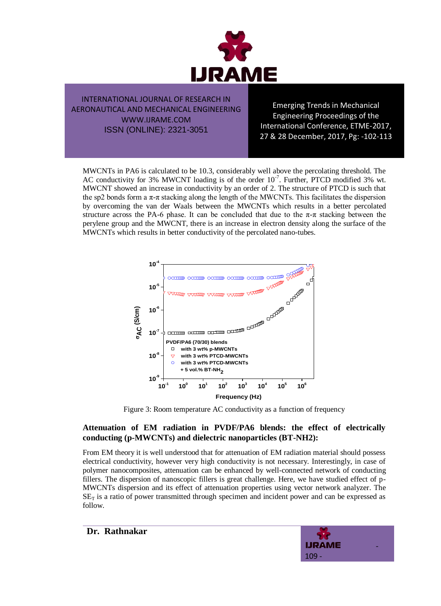

Emerging Trends in Mechanical Engineering Proceedings of the International Conference, ETME-2017, 27 & 28 December, 2017, Pg: -102-113

MWCNTs in PA6 is calculated to be 10.3, considerably well above the percolating threshold. The AC conductivity for 3% MWCNT loading is of the order  $10^{-7}$ . Further, PTCD modified 3% wt. MWCNT showed an increase in conductivity by an order of 2. The structure of PTCD is such that the sp2 bonds form a  $\pi$ - $\pi$  stacking along the length of the MWCNTs. This facilitates the dispersion by overcoming the van der Waals between the MWCNTs which results in a better percolated structure across the PA-6 phase. It can be concluded that due to the  $\pi$ - $\pi$  stacking between the perylene group and the MWCNT, there is an increase in electron density along the surface of the MWCNTs which results in better conductivity of the percolated nano-tubes.



Figure 3: Room temperature AC conductivity as a function of frequency

## **Attenuation of EM radiation in PVDF/PA6 blends: the effect of electrically conducting (p-MWCNTs) and dielectric nanoparticles (BT-NH2):**

From EM theory it is well understood that for attenuation of EM radiation material should possess electrical conductivity, however very high conductivity is not necessary. Interestingly, in case of polymer nanocomposites, attenuation can be enhanced by well-connected network of conducting fillers. The dispersion of nanoscopic fillers is great challenge. Here, we have studied effect of p-MWCNTs dispersion and its effect of attenuation properties using vector network analyzer. The  $SE<sub>T</sub>$  is a ratio of power transmitted through specimen and incident power and can be expressed as follow.

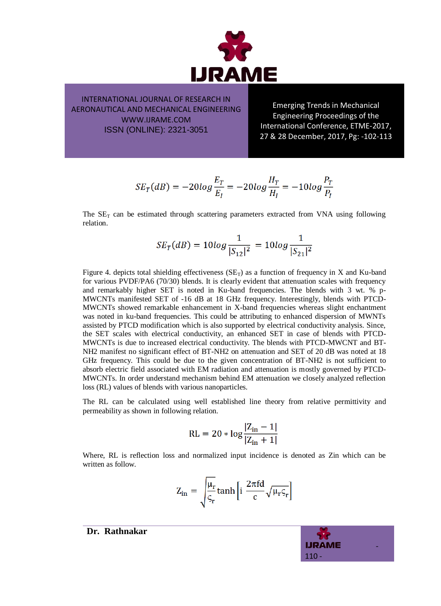

Emerging Trends in Mechanical Engineering Proceedings of the International Conference, ETME-2017, 27 & 28 December, 2017, Pg: -102-113

$$
SE_T(dB) = -20log \frac{E_T}{E_I} = -20log \frac{H_T}{H_I} = -10log \frac{P_T}{P_I}
$$

The  $SE<sub>T</sub>$  can be estimated through scattering parameters extracted from VNA using following relation.

$$
SE_T(dB) = 10log \frac{1}{|S_{12}|^2} = 10log \frac{1}{|S_{21}|^2}
$$

Figure 4. depicts total shielding effectiveness  $(SE_T)$  as a function of frequency in X and Ku-band for various PVDF/PA6 (70/30) blends. It is clearly evident that attenuation scales with frequency and remarkably higher SET is noted in Ku-band frequencies. The blends with 3 wt. % p-MWCNTs manifested SET of -16 dB at 18 GHz frequency. Interestingly, blends with PTCD-MWCNTs showed remarkable enhancement in X-band frequencies whereas slight enchantment was noted in ku-band frequencies. This could be attributing to enhanced dispersion of MWNTs assisted by PTCD modification which is also supported by electrical conductivity analysis. Since, the SET scales with electrical conductivity, an enhanced SET in case of blends with PTCD-MWCNTs is due to increased electrical conductivity. The blends with PTCD-MWCNT and BT-NH2 manifest no significant effect of BT-NH2 on attenuation and SET of 20 dB was noted at 18 GHz frequency. This could be due to the given concentration of BT-NH2 is not sufficient to absorb electric field associated with EM radiation and attenuation is mostly governed by PTCD-MWCNTs. In order understand mechanism behind EM attenuation we closely analyzed reflection loss (RL) values of blends with various nanoparticles.

The RL can be calculated using well established line theory from relative permittivity and permeability as shown in following relation.

$$
RL = 20 * log \frac{|Z_{in} - 1|}{|Z_{in} + 1|}
$$

Where, RL is reflection loss and normalized input incidence is denoted as Zin which can be written as follow.

$$
Z_{in} = \sqrt{\frac{\mu_r}{\varsigma_r}} \tanh\left[i \frac{2\pi fd}{c} \sqrt{\mu_r \varsigma_r}\right]
$$

 -  $110 -$ 

**Dr. Rathnakar**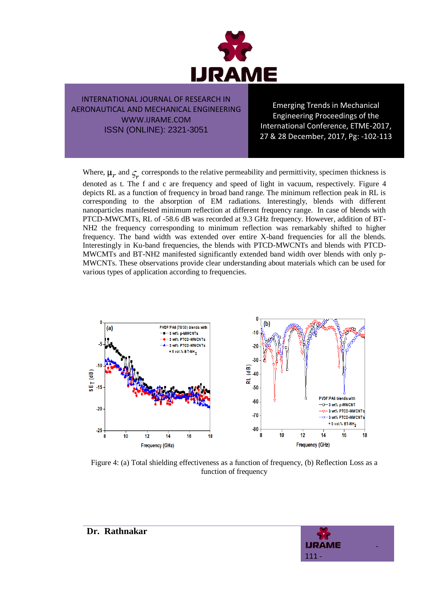

Emerging Trends in Mechanical Engineering Proceedings of the International Conference, ETME-2017, 27 & 28 December, 2017, Pg: -102-113

Where,  $\mu_r$  and  $\zeta_r$  corresponds to the relative permeability and permittivity, specimen thickness is

denoted as t. The f and c are frequency and speed of light in vacuum, respectively. Figure 4 depicts RL as a function of frequency in broad band range. The minimum reflection peak in RL is corresponding to the absorption of EM radiations. Interestingly, blends with different nanoparticles manifested minimum reflection at different frequency range. In case of blends with PTCD-MWCMTs, RL of -58.6 dB was recorded at 9.3 GHz frequency. However, addition of BT-NH2 the frequency corresponding to minimum reflection was remarkably shifted to higher frequency. The band width was extended over entire X-band frequencies for all the blends. Interestingly in Ku-band frequencies, the blends with PTCD-MWCNTs and blends with PTCD-MWCMTs and BT-NH2 manifested significantly extended band width over blends with only p-MWCNTs. These observations provide clear understanding about materials which can be used for various types of application according to frequencies.



Figure 4: (a) Total shielding effectiveness as a function of frequency, (b) Reflection Loss as a function of frequency

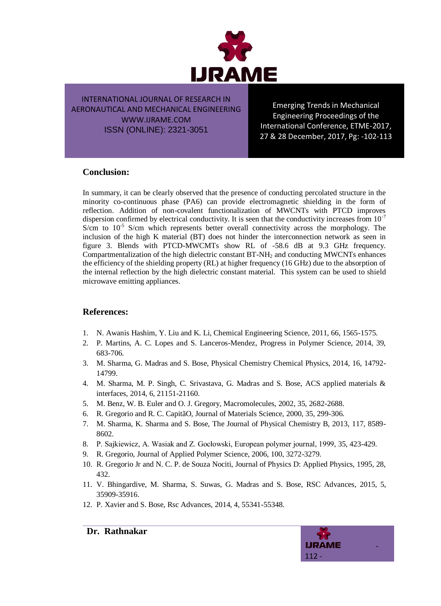

Emerging Trends in Mechanical Engineering Proceedings of the International Conference, ETME-2017, 27 & 28 December, 2017, Pg: -102-113

# **Conclusion:**

In summary, it can be clearly observed that the presence of conducting percolated structure in the minority co-continuous phase (PA6) can provide electromagnetic shielding in the form of reflection. Addition of non-covalent functionalization of MWCNTs with PTCD improves dispersion confirmed by electrical conductivity. It is seen that the conductivity increases from  $10^{-7}$ S/cm to 10<sup>-5</sup> S/cm which represents better overall connectivity across the morphology. The inclusion of the high K material (BT) does not hinder the interconnection network as seen in figure 3. Blends with PTCD-MWCMTs show RL of -58.6 dB at 9.3 GHz frequency. Compartmentalization of the high dielectric constant BT-NH<sup>2</sup> and conducting MWCNTs enhances the efficiency of the shielding property (RL) at higher frequency (16 GHz) due to the absorption of the internal reflection by the high dielectric constant material. This system can be used to shield microwave emitting appliances.

## **References:**

- 1. N. Awanis Hashim, Y. Liu and K. Li, Chemical Engineering Science, 2011, 66, 1565-1575.
- 2. P. Martins, A. C. Lopes and S. Lanceros-Mendez, Progress in Polymer Science, 2014, 39, 683-706.
- 3. M. Sharma, G. Madras and S. Bose, Physical Chemistry Chemical Physics, 2014, 16, 14792- 14799.
- 4. M. Sharma, M. P. Singh, C. Srivastava, G. Madras and S. Bose, ACS applied materials & interfaces, 2014, 6, 21151-21160.
- 5. M. Benz, W. B. Euler and O. J. Gregory, Macromolecules, 2002, 35, 2682-2688.
- 6. R. Gregorio and R. C. CapitãO, Journal of Materials Science, 2000, 35, 299-306.
- 7. M. Sharma, K. Sharma and S. Bose, The Journal of Physical Chemistry B, 2013, 117, 8589- 8602.
- 8. P. Sajkiewicz, A. Wasiak and Z. Gocłowski, European polymer journal, 1999, 35, 423-429.
- 9. R. Gregorio, Journal of Applied Polymer Science, 2006, 100, 3272-3279.
- 10. R. Gregorio Jr and N. C. P. de Souza Nociti, Journal of Physics D: Applied Physics, 1995, 28, 432.
- 11. V. Bhingardive, M. Sharma, S. Suwas, G. Madras and S. Bose, RSC Advances, 2015, 5, 35909-35916.
- 12. P. Xavier and S. Bose, Rsc Advances, 2014, 4, 55341-55348.